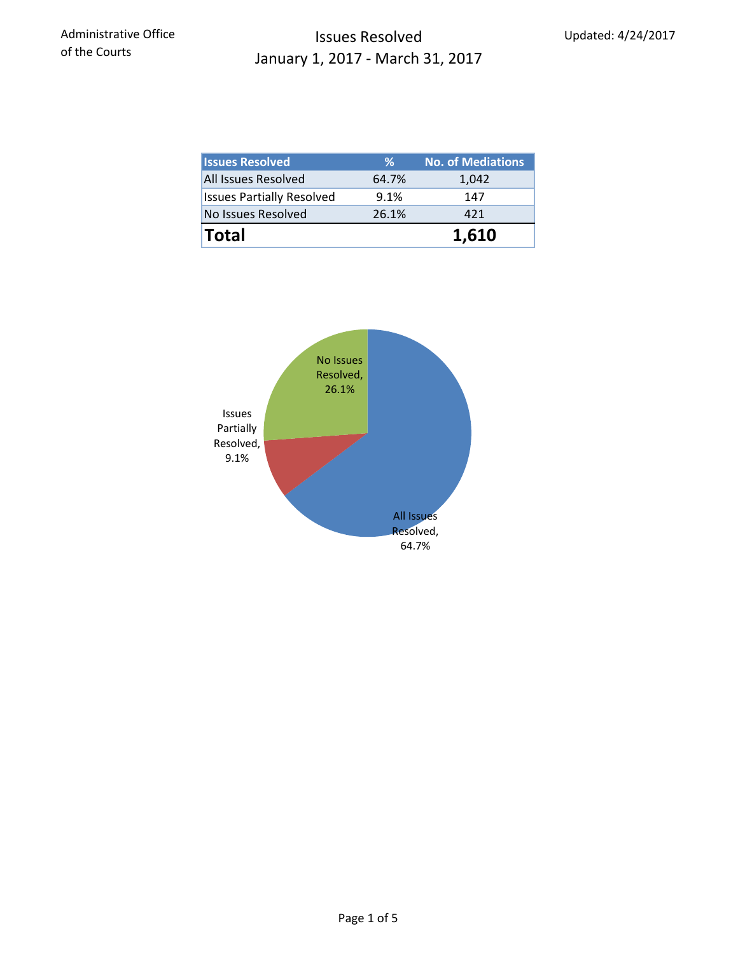### Issues Resolved January 1, 2017 - March 31, 2017

| <b>Issues Resolved</b>           | ℅     | <b>No. of Mediations</b> |  |  |
|----------------------------------|-------|--------------------------|--|--|
| <b>All Issues Resolved</b>       | 64.7% | 1,042                    |  |  |
| <b>Issues Partially Resolved</b> | 9.1%  | 147                      |  |  |
| No Issues Resolved               | 26.1% | 421                      |  |  |
| <b>Total</b>                     |       | 1,610                    |  |  |

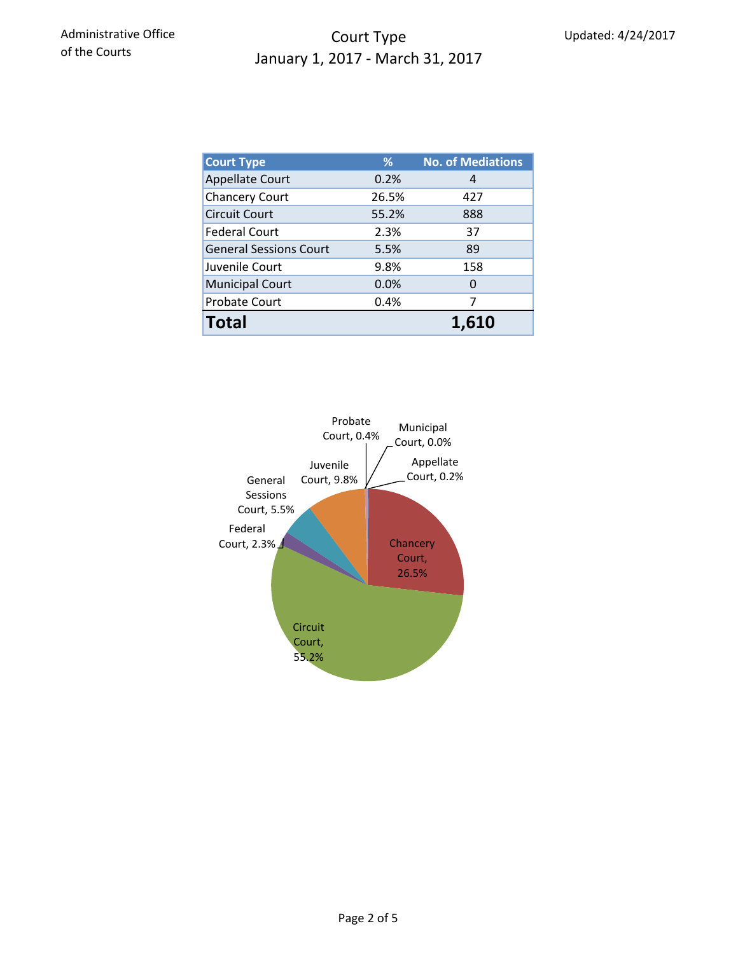## Court Type January 1, 2017 - March 31, 2017

| <b>Court Type</b>             | %     | <b>No. of Mediations</b> |  |  |
|-------------------------------|-------|--------------------------|--|--|
| <b>Appellate Court</b>        | 0.2%  | 4                        |  |  |
| <b>Chancery Court</b>         | 26.5% | 427                      |  |  |
| <b>Circuit Court</b>          | 55.2% | 888                      |  |  |
| <b>Federal Court</b>          | 2.3%  | 37                       |  |  |
| <b>General Sessions Court</b> | 5.5%  | 89                       |  |  |
| Juvenile Court                | 9.8%  | 158                      |  |  |
| <b>Municipal Court</b>        | 0.0%  | 0                        |  |  |
| Probate Court                 | 0.4%  | 7                        |  |  |
| <b>Total</b>                  |       | 1.610                    |  |  |

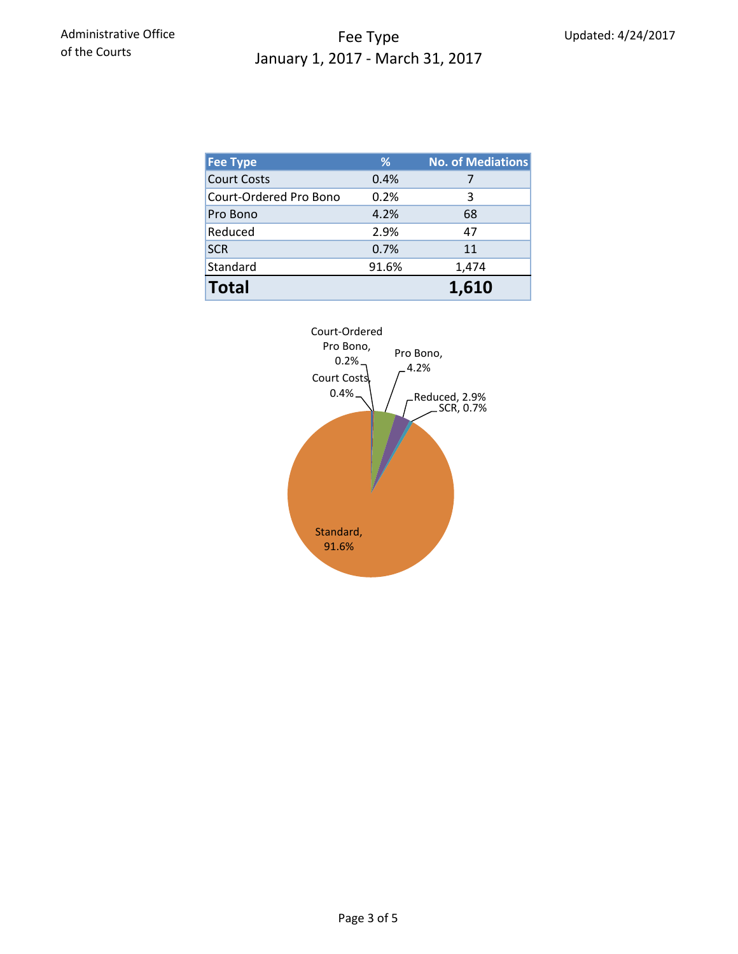### Fee Type January 1, 2017 - March 31, 2017

| <b>Fee Type</b>        | %     | <b>No. of Mediations</b> |
|------------------------|-------|--------------------------|
| <b>Court Costs</b>     | 0.4%  |                          |
| Court-Ordered Pro Bono | 0.2%  | 3                        |
| Pro Bono               | 4.2%  | 68                       |
| Reduced                | 2.9%  | 47                       |
| <b>SCR</b>             | 0.7%  | 11                       |
| Standard               | 91.6% | 1,474                    |
| <b>Total</b>           |       | 1,610                    |

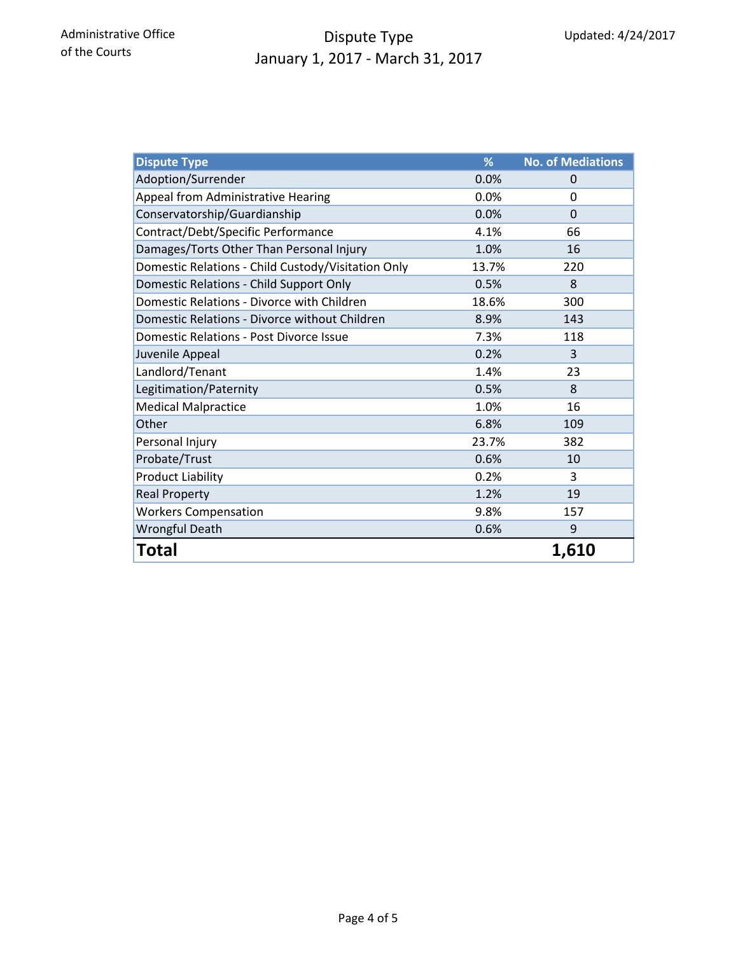# Dispute Type January 1, 2017 - March 31, 2017

| <b>Dispute Type</b>                                | %     | <b>No. of Mediations</b> |
|----------------------------------------------------|-------|--------------------------|
| Adoption/Surrender                                 | 0.0%  | 0                        |
| Appeal from Administrative Hearing                 | 0.0%  | 0                        |
| Conservatorship/Guardianship                       | 0.0%  | $\Omega$                 |
| Contract/Debt/Specific Performance                 | 4.1%  | 66                       |
| Damages/Torts Other Than Personal Injury           | 1.0%  | 16                       |
| Domestic Relations - Child Custody/Visitation Only | 13.7% | 220                      |
| Domestic Relations - Child Support Only            | 0.5%  | 8                        |
| Domestic Relations - Divorce with Children         | 18.6% | 300                      |
| Domestic Relations - Divorce without Children      | 8.9%  | 143                      |
| <b>Domestic Relations - Post Divorce Issue</b>     | 7.3%  | 118                      |
| Juvenile Appeal                                    | 0.2%  | 3                        |
| Landlord/Tenant                                    | 1.4%  | 23                       |
| Legitimation/Paternity                             | 0.5%  | 8                        |
| <b>Medical Malpractice</b>                         | 1.0%  | 16                       |
| Other                                              | 6.8%  | 109                      |
| Personal Injury                                    | 23.7% | 382                      |
| Probate/Trust                                      | 0.6%  | 10                       |
| <b>Product Liability</b>                           | 0.2%  | 3                        |
| <b>Real Property</b>                               | 1.2%  | 19                       |
| <b>Workers Compensation</b>                        | 9.8%  | 157                      |
| Wrongful Death                                     | 0.6%  | 9                        |
| Total                                              |       | 1,610                    |